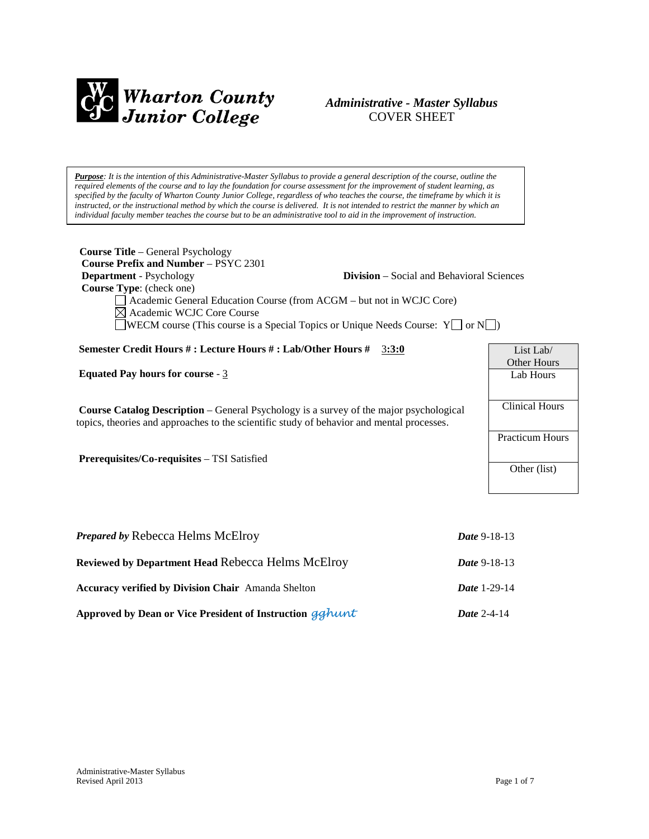

## *Administrative - Master Syllabus*  COVER SHEET

*Purpose: It is the intention of this Administrative-Master Syllabus to provide a general description of the course, outline the required elements of the course and to lay the foundation for course assessment for the improvement of student learning, as specified by the faculty of Wharton County Junior College, regardless of who teaches the course, the timeframe by which it is instructed, or the instructional method by which the course is delivered. It is not intended to restrict the manner by which an individual faculty member teaches the course but to be an administrative tool to aid in the improvement of instruction.*

| <b>Course Title - General Psychology</b><br><b>Course Prefix and Number – PSYC 2301</b><br><b>Department</b> - Psychology<br><b>Division</b> – Social and Behavioral Sciences<br>Course Type: (check one)<br>Academic General Education Course (from ACGM - but not in WCJC Core)<br>Academic WCJC Core Course<br>WECM course (This course is a Special Topics or Unique Needs Course: $Y \cap Y$ |                        |  |
|---------------------------------------------------------------------------------------------------------------------------------------------------------------------------------------------------------------------------------------------------------------------------------------------------------------------------------------------------------------------------------------------------|------------------------|--|
| Semester Credit Hours #: Lecture Hours #: Lab/Other Hours #<br>3:3:0                                                                                                                                                                                                                                                                                                                              | List Lab/              |  |
|                                                                                                                                                                                                                                                                                                                                                                                                   | Other Hours            |  |
| <b>Equated Pay hours for course - 3</b>                                                                                                                                                                                                                                                                                                                                                           | Lab Hours              |  |
| <b>Course Catalog Description</b> – General Psychology is a survey of the major psychological<br>topics, theories and approaches to the scientific study of behavior and mental processes.                                                                                                                                                                                                        | <b>Clinical Hours</b>  |  |
|                                                                                                                                                                                                                                                                                                                                                                                                   | <b>Practicum Hours</b> |  |
| Prerequisites/Co-requisites - TSI Satisfied                                                                                                                                                                                                                                                                                                                                                       | Other (list)           |  |
|                                                                                                                                                                                                                                                                                                                                                                                                   |                        |  |
|                                                                                                                                                                                                                                                                                                                                                                                                   |                        |  |
| <b>Prepared by Rebecca Helms McElroy</b><br>Date 9-18-13                                                                                                                                                                                                                                                                                                                                          |                        |  |
| <b>Reviewed by Department Head Rebecca Helms McElroy</b>                                                                                                                                                                                                                                                                                                                                          | Date 9-18-13           |  |
| <b>Accuracy verified by Division Chair</b> Amanda Shelton<br>Date 1-29-14                                                                                                                                                                                                                                                                                                                         |                        |  |

**Approved by Dean or Vice President of Instruction** *gghunt Date* 2-4-14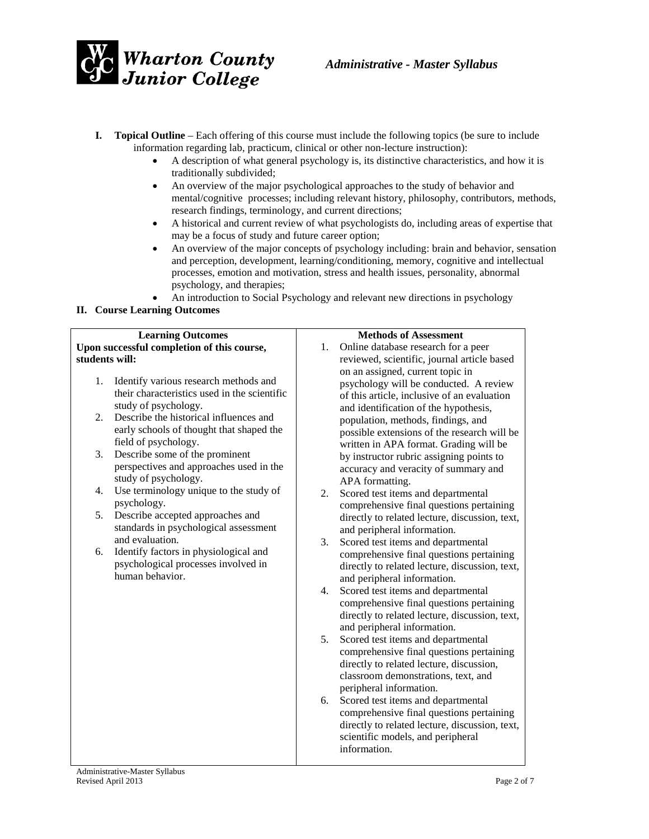

- **I. Topical Outline** Each offering of this course must include the following topics (be sure to include information regarding lab, practicum, clinical or other non-lecture instruction):
	- A description of what general psychology is, its distinctive characteristics, and how it is traditionally subdivided;
	- An overview of the major psychological approaches to the study of behavior and mental/cognitive processes; including relevant history, philosophy, contributors, methods, research findings, terminology, and current directions;
	- A historical and current review of what psychologists do, including areas of expertise that may be a focus of study and future career option;
	- An overview of the major concepts of psychology including: brain and behavior, sensation and perception, development, learning/conditioning, memory, cognitive and intellectual processes, emotion and motivation, stress and health issues, personality, abnormal psychology, and therapies;
	- An introduction to Social Psychology and relevant new directions in psychology

### **II. Course Learning Outcomes**

| <b>Learning Outcomes</b>                              | <b>Methods of Assessment</b>                                                   |  |
|-------------------------------------------------------|--------------------------------------------------------------------------------|--|
| Upon successful completion of this course,            | Online database research for a peer<br>1.                                      |  |
| students will:                                        | reviewed, scientific, journal article based                                    |  |
|                                                       | on an assigned, current topic in                                               |  |
| Identify various research methods and<br>1.           | psychology will be conducted. A review                                         |  |
| their characteristics used in the scientific          | of this article, inclusive of an evaluation                                    |  |
| study of psychology.                                  | and identification of the hypothesis,                                          |  |
| Describe the historical influences and<br>2.          | population, methods, findings, and                                             |  |
| early schools of thought that shaped the              | possible extensions of the research will be                                    |  |
| field of psychology.                                  | written in APA format. Grading will be                                         |  |
| 3.<br>Describe some of the prominent                  | by instructor rubric assigning points to                                       |  |
| perspectives and approaches used in the               | accuracy and veracity of summary and                                           |  |
| study of psychology.                                  | APA formatting.                                                                |  |
| Use terminology unique to the study of<br>4.          | Scored test items and departmental<br>2.                                       |  |
| psychology.<br>Describe accepted approaches and<br>5. | comprehensive final questions pertaining                                       |  |
| standards in psychological assessment                 | directly to related lecture, discussion, text,                                 |  |
| and evaluation.                                       | and peripheral information.                                                    |  |
| Identify factors in physiological and<br>6.           | Scored test items and departmental<br>3.                                       |  |
| psychological processes involved in                   | comprehensive final questions pertaining                                       |  |
| human behavior.                                       | directly to related lecture, discussion, text,                                 |  |
|                                                       | and peripheral information.<br>4.                                              |  |
|                                                       | Scored test items and departmental<br>comprehensive final questions pertaining |  |
|                                                       | directly to related lecture, discussion, text,                                 |  |
|                                                       | and peripheral information.                                                    |  |
|                                                       | 5.<br>Scored test items and departmental                                       |  |
|                                                       | comprehensive final questions pertaining                                       |  |
|                                                       | directly to related lecture, discussion,                                       |  |
|                                                       | classroom demonstrations, text, and                                            |  |
|                                                       | peripheral information.                                                        |  |
|                                                       | Scored test items and departmental<br>6.                                       |  |
|                                                       | comprehensive final questions pertaining                                       |  |
|                                                       | directly to related lecture, discussion, text,                                 |  |
|                                                       | scientific models, and peripheral                                              |  |
|                                                       | information.                                                                   |  |
|                                                       |                                                                                |  |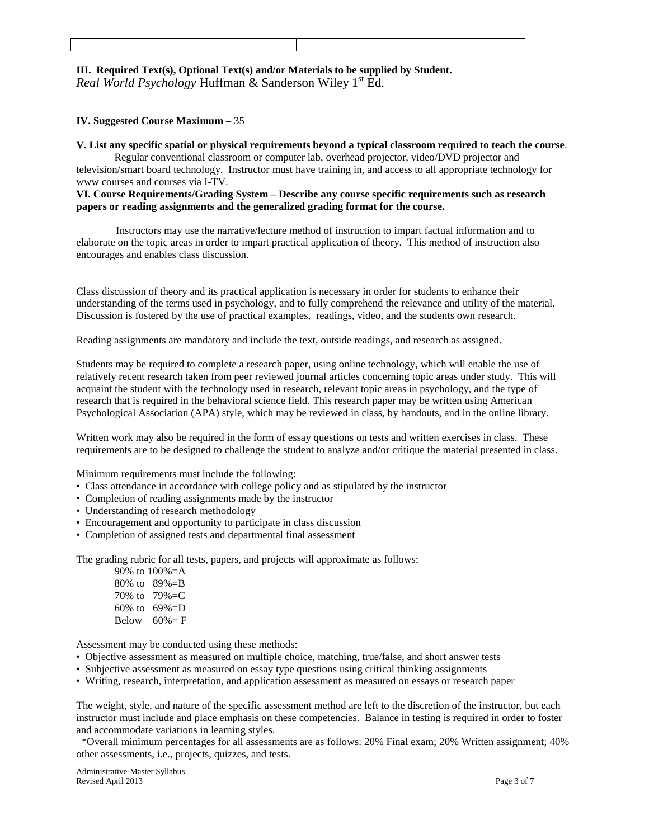## **III. Required Text(s), Optional Text(s) and/or Materials to be supplied by Student.** *Real World Psychology* Huffman & Sanderson Wiley 1<sup>st</sup> Ed.

#### **IV. Suggested Course Maximum** – 35

#### **V. List any specific spatial or physical requirements beyond a typical classroom required to teach the course**.

Regular conventional classroom or computer lab, overhead projector, video/DVD projector and television/smart board technology. Instructor must have training in, and access to all appropriate technology for www courses and courses via I-TV.

#### **VI. Course Requirements/Grading System – Describe any course specific requirements such as research papers or reading assignments and the generalized grading format for the course.**

 Instructors may use the narrative/lecture method of instruction to impart factual information and to elaborate on the topic areas in order to impart practical application of theory. This method of instruction also encourages and enables class discussion.

Class discussion of theory and its practical application is necessary in order for students to enhance their understanding of the terms used in psychology, and to fully comprehend the relevance and utility of the material. Discussion is fostered by the use of practical examples, readings, video, and the students own research.

Reading assignments are mandatory and include the text, outside readings, and research as assigned.

Students may be required to complete a research paper, using online technology, which will enable the use of relatively recent research taken from peer reviewed journal articles concerning topic areas under study. This will acquaint the student with the technology used in research, relevant topic areas in psychology, and the type of research that is required in the behavioral science field. This research paper may be written using American Psychological Association (APA) style, which may be reviewed in class, by handouts, and in the online library.

Written work may also be required in the form of essay questions on tests and written exercises in class. These requirements are to be designed to challenge the student to analyze and/or critique the material presented in class.

Minimum requirements must include the following:

- Class attendance in accordance with college policy and as stipulated by the instructor
- Completion of reading assignments made by the instructor
- Understanding of research methodology
- Encouragement and opportunity to participate in class discussion
- Completion of assigned tests and departmental final assessment

The grading rubric for all tests, papers, and projects will approximate as follows:

|              | 90\% to $100\% = A$ |
|--------------|---------------------|
| 80% to       | 89%=B               |
| 70% to       | $79\% = C$          |
| $60\%$ to    | $69\% = D$          |
| <b>Below</b> | $60% = F$           |

Assessment may be conducted using these methods:

- Objective assessment as measured on multiple choice, matching, true/false, and short answer tests
- Subjective assessment as measured on essay type questions using critical thinking assignments
- Writing, research, interpretation, and application assessment as measured on essays or research paper

The weight, style, and nature of the specific assessment method are left to the discretion of the instructor, but each instructor must include and place emphasis on these competencies. Balance in testing is required in order to foster and accommodate variations in learning styles.

\*Overall minimum percentages for all assessments are as follows: 20% Final exam; 20% Written assignment; 40% other assessments, i.e., projects, quizzes, and tests.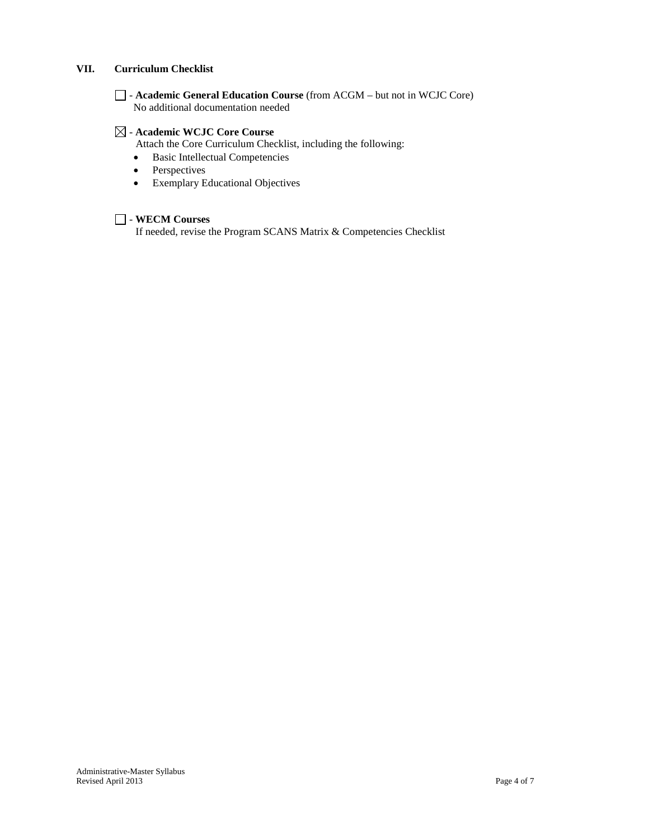### **VII. Curriculum Checklist**

- **Academic General Education Course** (from ACGM – but not in WCJC Core) No additional documentation needed

#### - **Academic WCJC Core Course**

Attach the Core Curriculum Checklist, including the following:

- Basic Intellectual Competencies
- Perspectives
- Exemplary Educational Objectives

### - **WECM Courses**

If needed, revise the Program SCANS Matrix & Competencies Checklist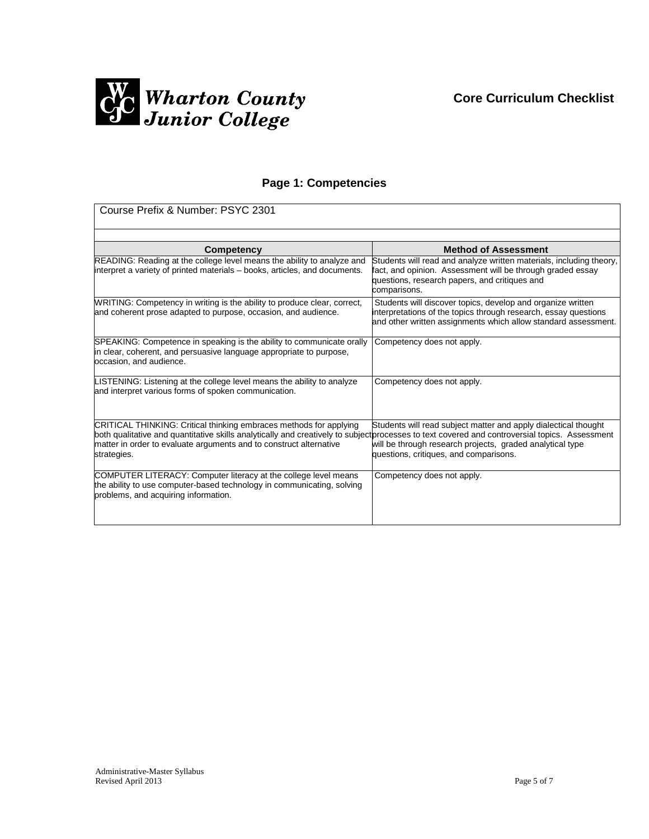

# **Page 1: Competencies**

| Course Prefix & Number: PSYC 2301                                                                                                                                                                                                                                                                         |                                                                                                                                                                                                                                   |  |
|-----------------------------------------------------------------------------------------------------------------------------------------------------------------------------------------------------------------------------------------------------------------------------------------------------------|-----------------------------------------------------------------------------------------------------------------------------------------------------------------------------------------------------------------------------------|--|
|                                                                                                                                                                                                                                                                                                           |                                                                                                                                                                                                                                   |  |
| Competency<br>READING: Reading at the college level means the ability to analyze and<br>interpret a variety of printed materials – books, articles, and documents.                                                                                                                                        | <b>Method of Assessment</b><br>Students will read and analyze written materials, including theory,<br>fact, and opinion. Assessment will be through graded essay<br>questions, research papers, and critiques and<br>comparisons. |  |
| WRITING: Competency in writing is the ability to produce clear, correct,<br>and coherent prose adapted to purpose, occasion, and audience.                                                                                                                                                                | Students will discover topics, develop and organize written<br>interpretations of the topics through research, essay questions<br>and other written assignments which allow standard assessment.                                  |  |
| SPEAKING: Competence in speaking is the ability to communicate orally<br>in clear, coherent, and persuasive language appropriate to purpose,<br>occasion, and audience.                                                                                                                                   | Competency does not apply.                                                                                                                                                                                                        |  |
| LISTENING: Listening at the college level means the ability to analyze<br>and interpret various forms of spoken communication.                                                                                                                                                                            | Competency does not apply.                                                                                                                                                                                                        |  |
| CRITICAL THINKING: Critical thinking embraces methods for applying<br>both qualitative and quantitative skills analytically and creatively to subject processes to text covered and controversial topics. Assessment<br>matter in order to evaluate arguments and to construct alternative<br>strategies. | Students will read subject matter and apply dialectical thought<br>will be through research projects, graded analytical type<br>questions, critiques, and comparisons.                                                            |  |
| COMPUTER LITERACY: Computer literacy at the college level means<br>the ability to use computer-based technology in communicating, solving<br>problems, and acquiring information.                                                                                                                         | Competency does not apply.                                                                                                                                                                                                        |  |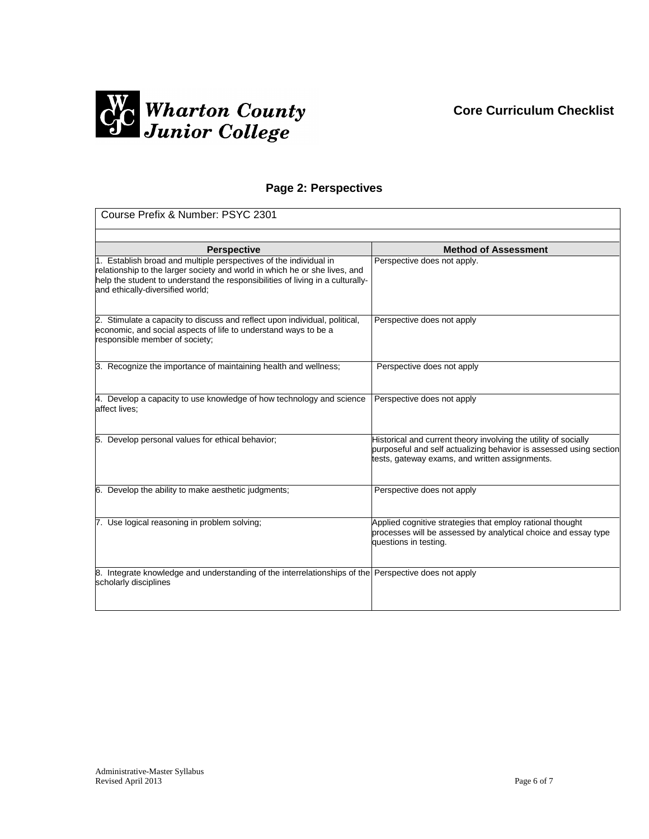## **Core Curriculum Checklist**



# **Page 2: Perspectives**

| Course Prefix & Number: PSYC 2301                                                                                                                                                                                                                                     |                                                                                                                                                                                         |  |
|-----------------------------------------------------------------------------------------------------------------------------------------------------------------------------------------------------------------------------------------------------------------------|-----------------------------------------------------------------------------------------------------------------------------------------------------------------------------------------|--|
|                                                                                                                                                                                                                                                                       |                                                                                                                                                                                         |  |
| <b>Perspective</b>                                                                                                                                                                                                                                                    | <b>Method of Assessment</b>                                                                                                                                                             |  |
| 1. Establish broad and multiple perspectives of the individual in<br>relationship to the larger society and world in which he or she lives, and<br>help the student to understand the responsibilities of living in a culturally-<br>and ethically-diversified world; | Perspective does not apply.                                                                                                                                                             |  |
| 2. Stimulate a capacity to discuss and reflect upon individual, political,<br>economic, and social aspects of life to understand ways to be a<br>responsible member of society;                                                                                       | Perspective does not apply                                                                                                                                                              |  |
| 3. Recognize the importance of maintaining health and wellness;                                                                                                                                                                                                       | Perspective does not apply                                                                                                                                                              |  |
| 4. Develop a capacity to use knowledge of how technology and science<br>affect lives;                                                                                                                                                                                 | Perspective does not apply                                                                                                                                                              |  |
| 5. Develop personal values for ethical behavior;                                                                                                                                                                                                                      | Historical and current theory involving the utility of socially<br>purposeful and self actualizing behavior is assessed using section<br>tests, gateway exams, and written assignments. |  |
| 6. Develop the ability to make aesthetic judgments;                                                                                                                                                                                                                   | Perspective does not apply                                                                                                                                                              |  |
| 7. Use logical reasoning in problem solving;                                                                                                                                                                                                                          | Applied cognitive strategies that employ rational thought<br>processes will be assessed by analytical choice and essay type<br>questions in testing.                                    |  |
| 8. Integrate knowledge and understanding of the interrelationships of the Perspective does not apply<br>scholarly disciplines                                                                                                                                         |                                                                                                                                                                                         |  |